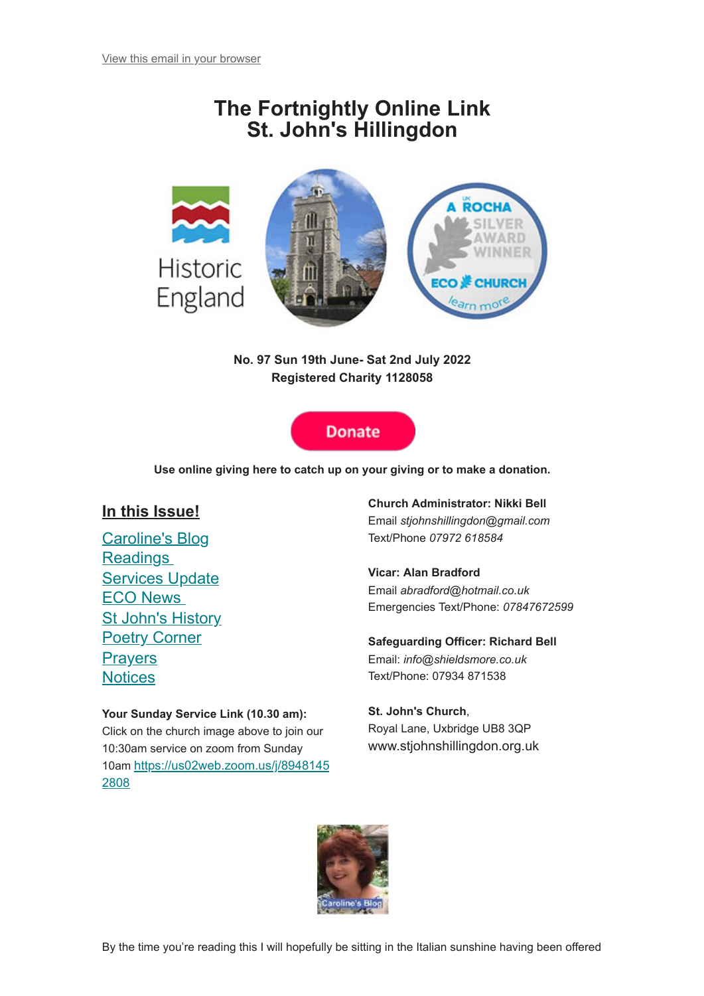# **The Fortnightly Online Link St. John's Hillingdon**



**No. 97 Sun 19th June- Sat 2nd July 2022 Registered Charity 1128058**



**Use online giving here to catch up on your giving or to make a donation.**

## **In this Issue!**

[Caroline's Blog](#page-0-0) **[Readings](#page-2-0)** [Services Update](#page-3-0) [ECO News](#page-3-1) [St John's History](#page-4-0) **[Poetry Corner](#page-6-0) [Prayers](#page-7-0) [Notices](#page-7-1)** 

#### **Your Sunday Service Link (10.30 am):**

<span id="page-0-0"></span>Click on the church image above to join our 10:30am service on zoom from Sunday 10am [https://us02web.zoom.us/j/8948145](https://us02web.zoom.us/j/89481452808) 2808

**Church Administrator: Nikki Bell** Email *stjohnshillingdon@gmail.com* Text/Phone *07972 618584*

#### **Vicar: Alan Bradford**

Email *abradford@hotmail.co.uk* Emergencies Text/Phone: *07847672599*

#### **Safeguarding Officer: Richard Bell**

Email: *info@shieldsmore.co.uk* Text/Phone: 07934 871538

#### **St. John's Church**,

Royal Lane, Uxbridge UB8 3QP www.stjohnshillingdon.org.uk

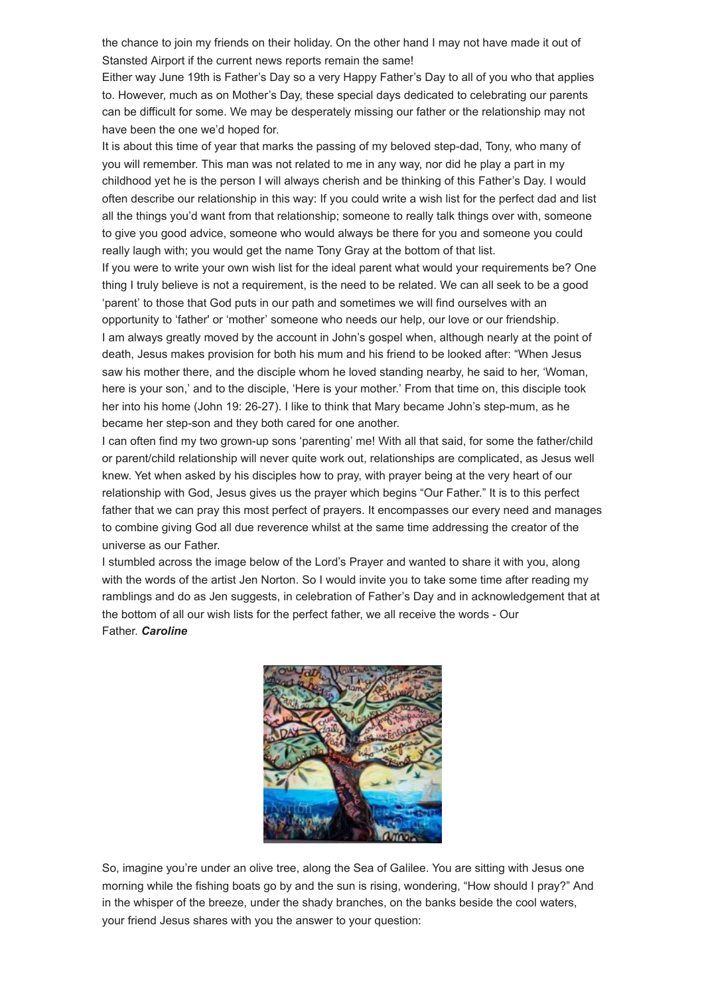the chance to join my friends on their holiday. On the other hand I may not have made it out of Stansted Airport if the current news reports remain the same!

Either way June 19th is Father's Day so a very Happy Father's Day to all of you who that applies to. However, much as on Mother's Day, these special days dedicated to celebrating our parents can be difficult for some. We may be desperately missing our father or the relationship may not have been the one we'd hoped for.

It is about this time of year that marks the passing of my beloved step-dad, Tony, who many of you will remember. This man was not related to me in any way, nor did he play a part in my childhood yet he is the person I will always cherish and be thinking of this Father's Day. I would often describe our relationship in this way: If you could write a wish list for the perfect dad and list all the things you'd want from that relationship; someone to really talk things over with, someone to give you good advice, someone who would always be there for you and someone you could really laugh with; you would get the name Tony Gray at the bottom of that list.

If you were to write your own wish list for the ideal parent what would your requirements be? One thing I truly believe is not a requirement, is the need to be related. We can all seek to be a good 'parent' to those that God puts in our path and sometimes we will find ourselves with an opportunity to 'father' or 'mother' someone who needs our help, our love or our friendship. I am always greatly moved by the account in John's gospel when, although nearly at the point of death, Jesus makes provision for both his mum and his friend to be looked after: "When Jesus saw his mother there, and the disciple whom he loved standing nearby, he said to her, 'Woman, here is your son,' and to the disciple, 'Here is your mother.' From that time on, this disciple took her into his home (John 19: 26-27). I like to think that Mary became John's step-mum, as he became her step-son and they both cared for one another.

I can often find my two grown-up sons 'parenting' me! With all that said, for some the father/child or parent/child relationship will never quite work out, relationships are complicated, as Jesus well knew. Yet when asked by his disciples how to pray, with prayer being at the very heart of our relationship with God, Jesus gives us the prayer which begins "Our Father." It is to this perfect father that we can pray this most perfect of prayers. It encompasses our every need and manages to combine giving God all due reverence whilst at the same time addressing the creator of the universe as our Father.

I stumbled across the image below of the Lord's Prayer and wanted to share it with you, along with the words of the artist Jen Norton. So I would invite you to take some time after reading my ramblings and do as Jen suggests, in celebration of Father's Day and in acknowledgement that at the bottom of all our wish lists for the perfect father, we all receive the words - Our Father. *Caroline*



So, imagine you're under an olive tree, along the Sea of Galilee. You are sitting with Jesus one morning while the fishing boats go by and the sun is rising, wondering, "How should I pray?" And in the whisper of the breeze, under the shady branches, on the banks beside the cool waters, your friend Jesus shares with you the answer to your question: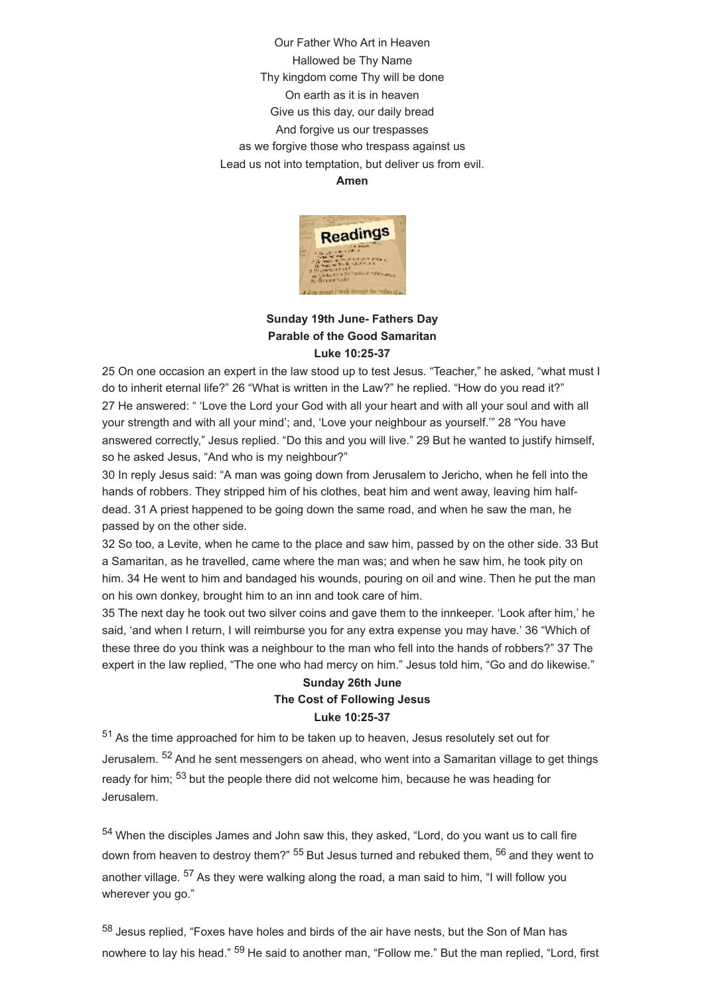Our Father Who Art in Heaven Hallowed be Thy Name Thy kingdom come Thy will be done On earth as it is in heaven Give us this day, our daily bread And forgive us our trespasses as we forgive those who trespass against us Lead us not into temptation, but deliver us from evil. **Amen**



### <span id="page-2-0"></span>**Sunday 19th June- Fathers Day Parable of the Good Samaritan Luke 10:25-37**

25 On one occasion an expert in the law stood up to test Jesus. "Teacher," he asked, "what must I do to inherit eternal life?" 26 "What is written in the Law?" he replied. "How do you read it?" 27 He answered: " 'Love the Lord your God with all your heart and with all your soul and with all your strength and with all your mind'; and, 'Love your neighbour as yourself.'" 28 "You have answered correctly," Jesus replied. "Do this and you will live." 29 But he wanted to justify himself, so he asked Jesus, "And who is my neighbour?"

30 In reply Jesus said: "A man was going down from Jerusalem to Jericho, when he fell into the hands of robbers. They stripped him of his clothes, beat him and went away, leaving him halfdead. 31 A priest happened to be going down the same road, and when he saw the man, he passed by on the other side.

32 So too, a Levite, when he came to the place and saw him, passed by on the other side. 33 But a Samaritan, as he travelled, came where the man was; and when he saw him, he took pity on him. 34 He went to him and bandaged his wounds, pouring on oil and wine. Then he put the man on his own donkey, brought him to an inn and took care of him.

35 The next day he took out two silver coins and gave them to the innkeeper. 'Look after him,' he said, 'and when I return, I will reimburse you for any extra expense you may have.' 36 "Which of these three do you think was a neighbour to the man who fell into the hands of robbers?" 37 The expert in the law replied, "The one who had mercy on him." Jesus told him, "Go and do likewise."

### **Sunday 26th June The Cost of Following Jesus Luke 10:25-37**

<sup>51</sup> As the time approached for him to be taken up to heaven, Jesus resolutely set out for Jerusalem. <sup>52</sup> And he sent messengers on ahead, who went into a Samaritan village to get things ready for him; <sup>53</sup> but the people there did not welcome him, because he was heading for Jerusalem.

<sup>54</sup> When the disciples James and John saw this, they asked, "Lord, do you want us to call fire down from heaven to destroy them?" <sup>55</sup> But Jesus turned and rebuked them, <sup>56</sup> and they went to another village. <sup>57</sup> As they were walking along the road, a man said to him, "I will follow you wherever you go."

58 Jesus replied, "Foxes have holes and birds of the air have nests, but the Son of Man has nowhere to lay his head." <sup>59</sup> He said to another man, "Follow me." But the man replied, "Lord, first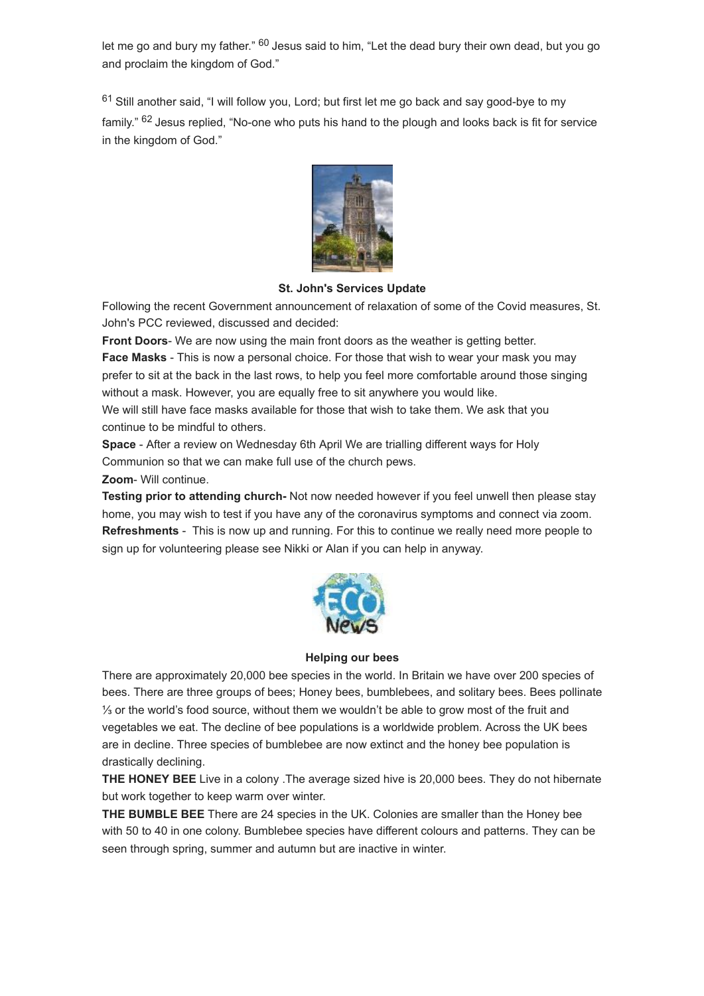let me go and bury my father." <sup>60</sup> Jesus said to him, "Let the dead bury their own dead, but you go and proclaim the kingdom of God."

 $61$  Still another said, "I will follow you, Lord; but first let me go back and say good-bye to my family." <sup>62</sup> Jesus replied, "No-one who puts his hand to the plough and looks back is fit for service in the kingdom of God."



#### **St. John's Services Update**

<span id="page-3-0"></span>Following the recent Government announcement of relaxation of some of the Covid measures, St. John's PCC reviewed, discussed and decided:

**Front Doors**- We are now using the main front doors as the weather is getting better.

**Face Masks** - This is now a personal choice. For those that wish to wear your mask you may prefer to sit at the back in the last rows, to help you feel more comfortable around those singing without a mask. However, you are equally free to sit anywhere you would like.

We will still have face masks available for those that wish to take them. We ask that you continue to be mindful to others.

**Space** - After a review on Wednesday 6th April We are trialling different ways for Holy Communion so that we can make full use of the church pews.

#### **Zoom**- Will continue.

**Testing prior to attending church-** Not now needed however if you feel unwell then please stay home, you may wish to test if you have any of the coronavirus symptoms and connect via zoom. **Refreshments** - This is now up and running. For this to continue we really need more people to sign up for volunteering please see Nikki or Alan if you can help in anyway.



#### **Helping our bees**

<span id="page-3-1"></span>There are approximately 20,000 bee species in the world. In Britain we have over 200 species of bees. There are three groups of bees; Honey bees, bumblebees, and solitary bees. Bees pollinate ⅓ or the world's food source, without them we wouldn't be able to grow most of the fruit and vegetables we eat. The decline of bee populations is a worldwide problem. Across the UK bees are in decline. Three species of bumblebee are now extinct and the honey bee population is drastically declining.

**THE HONEY BEE** Live in a colony .The average sized hive is 20,000 bees. They do not hibernate but work together to keep warm over winter.

**THE BUMBLE BEE** There are 24 species in the UK. Colonies are smaller than the Honey bee with 50 to 40 in one colony. Bumblebee species have different colours and patterns. They can be seen through spring, summer and autumn but are inactive in winter.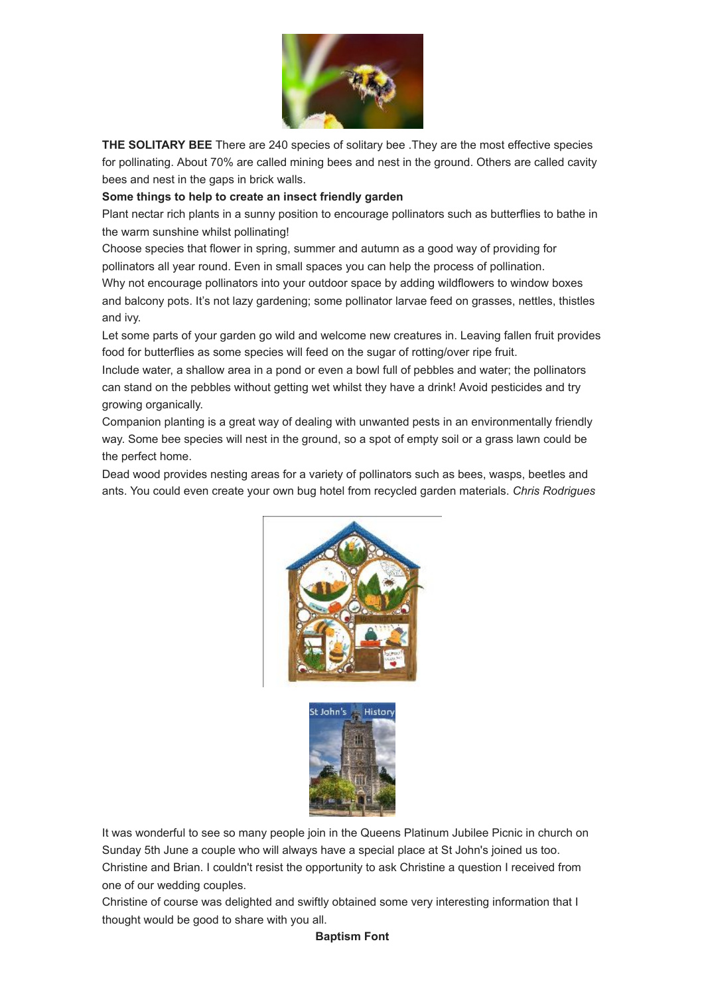

**THE SOLITARY BEE** There are 240 species of solitary bee .They are the most effective species for pollinating. About 70% are called mining bees and nest in the ground. Others are called cavity bees and nest in the gaps in brick walls.

#### **Some things to help to create an insect friendly garden**

Plant nectar rich plants in a sunny position to encourage pollinators such as butterflies to bathe in the warm sunshine whilst pollinating!

Choose species that flower in spring, summer and autumn as a good way of providing for pollinators all year round. Even in small spaces you can help the process of pollination. Why not encourage pollinators into your outdoor space by adding wildflowers to window boxes and balcony pots. It's not lazy gardening; some pollinator larvae feed on grasses, nettles, thistles and ivy.

Let some parts of your garden go wild and welcome new creatures in. Leaving fallen fruit provides food for butterflies as some species will feed on the sugar of rotting/over ripe fruit.

Include water, a shallow area in a pond or even a bowl full of pebbles and water; the pollinators can stand on the pebbles without getting wet whilst they have a drink! Avoid pesticides and try growing organically.

Companion planting is a great way of dealing with unwanted pests in an environmentally friendly way. Some bee species will nest in the ground, so a spot of empty soil or a grass lawn could be the perfect home.

Dead wood provides nesting areas for a variety of pollinators such as bees, wasps, beetles and ants. You could even create your own bug hotel from recycled garden materials. *Chris Rodrigues*





<span id="page-4-0"></span>It was wonderful to see so many people join in the Queens Platinum Jubilee Picnic in church on Sunday 5th June a couple who will always have a special place at St John's joined us too. Christine and Brian. I couldn't resist the opportunity to ask Christine a question I received from one of our wedding couples.

Christine of course was delighted and swiftly obtained some very interesting information that I thought would be good to share with you all.

#### **Baptism Font**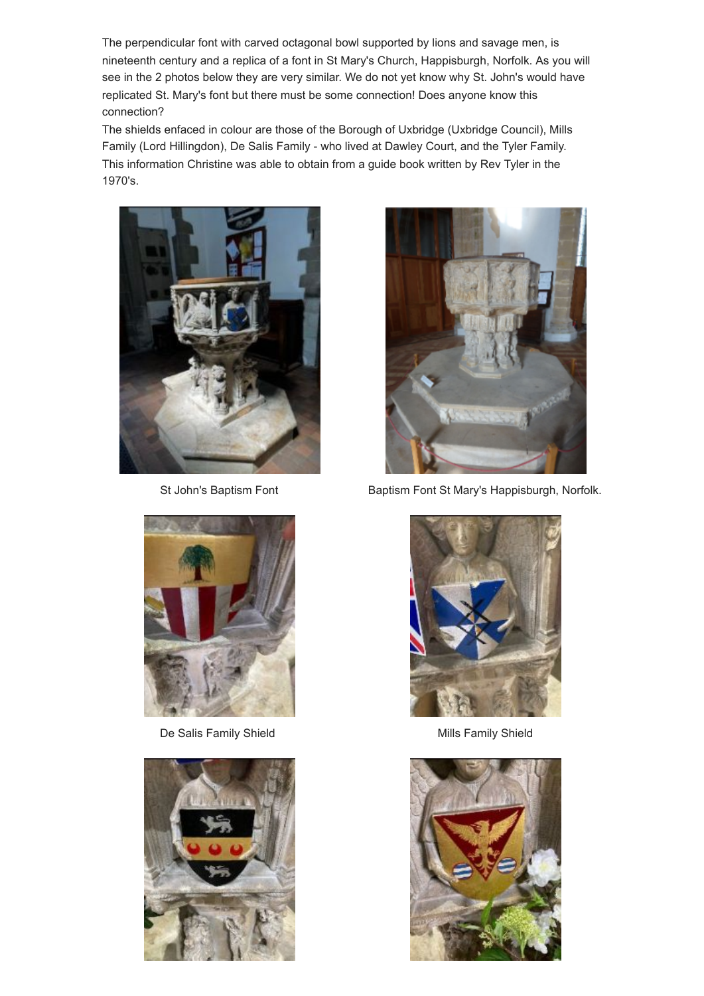The perpendicular font with carved octagonal bowl supported by lions and savage men, is nineteenth century and a replica of a font in St Mary's Church, Happisburgh, Norfolk. As you will see in the 2 photos below they are very similar. We do not yet know why St. John's would have replicated St. Mary's font but there must be some connection! Does anyone know this connection?

The shields enfaced in colour are those of the Borough of Uxbridge (Uxbridge Council), Mills Family (Lord Hillingdon), De Salis Family - who lived at Dawley Court, and the Tyler Family. This information Christine was able to obtain from a guide book written by Rev Tyler in the 1970's.





De Salis Family Shield Mills Family Shield





St John's Baptism Font Baptism Font St Mary's Happisburgh, Norfolk.



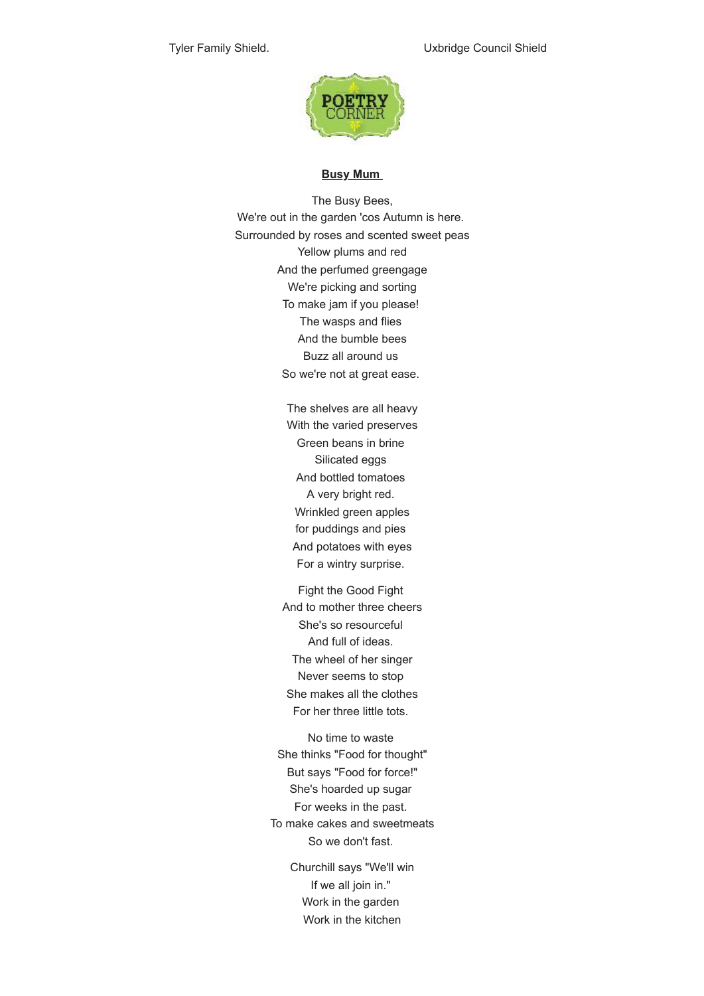

#### **Busy Mum**

<span id="page-6-0"></span>The Busy Bees, We're out in the garden 'cos Autumn is here. Surrounded by roses and scented sweet peas Yellow plums and red And the perfumed greengage We're picking and sorting To make jam if you please! The wasps and flies And the bumble bees Buzz all around us So we're not at great ease.

> The shelves are all heavy With the varied preserves Green beans in brine Silicated eggs And bottled tomatoes A very bright red. Wrinkled green apples for puddings and pies And potatoes with eyes For a wintry surprise.

Fight the Good Fight And to mother three cheers She's so resourceful And full of ideas. The wheel of her singer Never seems to stop She makes all the clothes For her three little tots.

No time to waste She thinks "Food for thought" But says "Food for force!" She's hoarded up sugar For weeks in the past. To make cakes and sweetmeats So we don't fast.

> Churchill says "We'll win If we all join in." Work in the garden Work in the kitchen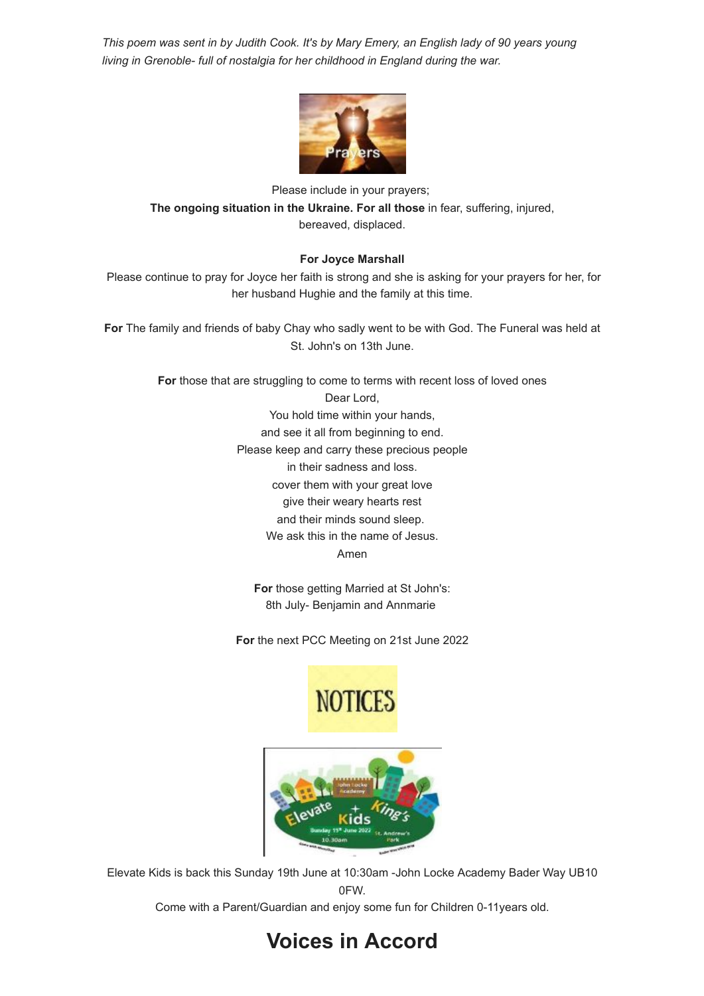*This poem was sent in by Judith Cook. It's by Mary Emery, an English lady of 90 years young living in Grenoble- full of nostalgia for her childhood in England during the war.*



Please include in your prayers; **The ongoing situation in the Ukraine. For all those** in fear, suffering, injured, bereaved, displaced.

#### **For Joyce Marshall**

<span id="page-7-0"></span>Please continue to pray for Joyce her faith is strong and she is asking for your prayers for her, for her husband Hughie and the family at this time.

**For** The family and friends of baby Chay who sadly went to be with God. The Funeral was held at St. John's on 13th June.

> For those that are struggling to come to terms with recent loss of loved ones Dear Lord, You hold time within your hands, and see it all from beginning to end. Please keep and carry these precious people in their sadness and loss. cover them with your great love give their weary hearts rest and their minds sound sleep. We ask this in the name of Jesus. Amen

> > **For** those getting Married at St John's: 8th July- Benjamin and Annmarie

**For** the next PCC Meeting on 21st June 2022





<span id="page-7-1"></span>Elevate Kids is back this Sunday 19th June at 10:30am -John Locke Academy Bader Way UB10 0FW.

Come with a Parent/Guardian and enjoy some fun for Children 0-11years old.

## **Voices in Accord**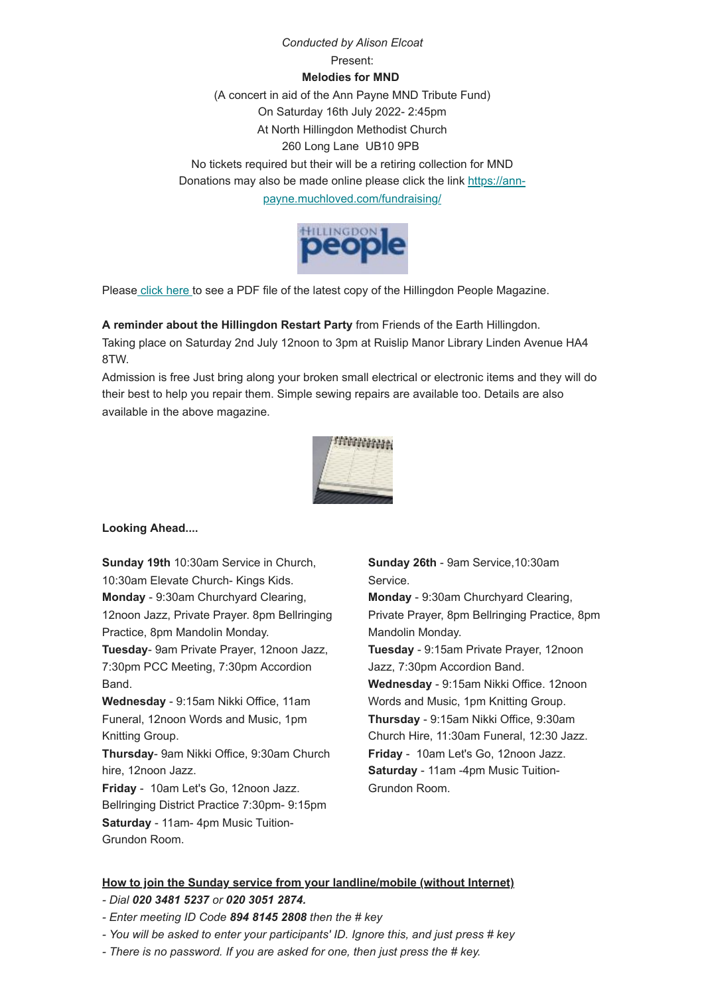## *Conducted by Alison Elcoat* Present: **Melodies for MND** (A concert in aid of the Ann Payne MND Tribute Fund) On Saturday 16th July 2022- 2:45pm At North Hillingdon Methodist Church 260 Long Lane UB10 9PB No tickets required but their will be a retiring collection for MND Donations may [also be made online please click the link https://ann](https://ann-payne.muchloved.com/fundraising/)payne.muchloved.com/fundraising/



Pleas[e click here t](https://mcusercontent.com/1498071be53b7666c099ad893/files/ee538fba-444f-9ae2-739f-b7672becce55/Hillingdon_People_May_June_2022_Online__3_.pdf)o see a PDF file of the latest copy of the Hillingdon People Magazine.

**A reminder about the Hillingdon Restart Party** from Friends of the Earth Hillingdon.

Taking place on Saturday 2nd July 12noon to 3pm at Ruislip Manor Library Linden Avenue HA4 8TW.

Admission is free Just bring along your broken small electrical or electronic items and they will do their best to help you repair them. Simple sewing repairs are available too. Details are also available in the above magazine.



**Looking Ahead....**

**Sunday 19th** 10:30am Service in Church, 10:30am Elevate Church- Kings Kids. **Monday** - 9:30am Churchyard Clearing, 12noon Jazz, Private Prayer. 8pm Bellringing Practice, 8pm Mandolin Monday.

**Tuesday**- 9am Private Prayer, 12noon Jazz, 7:30pm PCC Meeting, 7:30pm Accordion Band.

**Wednesday** - 9:15am Nikki Office, 11am Funeral, 12noon Words and Music, 1pm Knitting Group.

**Thursday**- 9am Nikki Office, 9:30am Church hire, 12noon Jazz.

**Friday** - 10am Let's Go, 12noon Jazz. Bellringing District Practice 7:30pm- 9:15pm **Saturday** - 11am- 4pm Music Tuition-Grundon Room.

**Sunday 26th** - 9am Service,10:30am Service.

**Monday** - 9:30am Churchyard Clearing, Private Prayer, 8pm Bellringing Practice, 8pm Mandolin Monday.

**Tuesday** - 9:15am Private Prayer, 12noon Jazz, 7:30pm Accordion Band.

**Wednesday** - 9:15am Nikki Office. 12noon Words and Music, 1pm Knitting Group. **Thursday** - 9:15am Nikki Office, 9:30am Church Hire, 11:30am Funeral, 12:30 Jazz. **Friday** - 10am Let's Go, 12noon Jazz. **Saturday** - 11am -4pm Music Tuition-Grundon Room.

#### **How to join the Sunday service from your landline/mobile (without Internet)**

- *Dial 020 3481 5237 or 020 3051 2874.*
- *Enter meeting ID Code 894 8145 2808 then the # key*
- *You will be asked to enter your participants' ID. Ignore this, and just press # key*
- *There is no password. If you are asked for one, then just press the # key.*